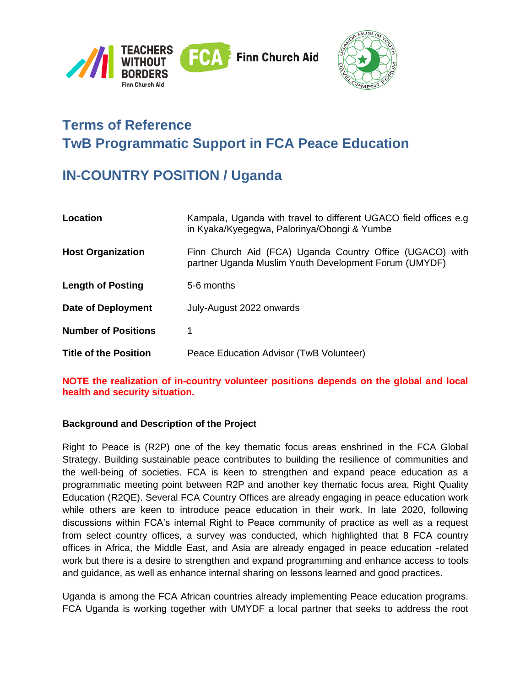



# **Terms of Reference TwB Programmatic Support in FCA Peace Education**

# **IN-COUNTRY POSITION / Uganda**

| Location                     | Kampala, Uganda with travel to different UGACO field offices e.g.<br>in Kyaka/Kyegegwa, Palorinya/Obongi & Yumbe  |
|------------------------------|-------------------------------------------------------------------------------------------------------------------|
| <b>Host Organization</b>     | Finn Church Aid (FCA) Uganda Country Office (UGACO) with<br>partner Uganda Muslim Youth Development Forum (UMYDF) |
| <b>Length of Posting</b>     | 5-6 months                                                                                                        |
| Date of Deployment           | July-August 2022 onwards                                                                                          |
| <b>Number of Positions</b>   |                                                                                                                   |
| <b>Title of the Position</b> | Peace Education Advisor (TwB Volunteer)                                                                           |

**NOTE the realization of in-country volunteer positions depends on the global and local health and security situation.**

#### **Background and Description of the Project**

Right to Peace is (R2P) one of the key thematic focus areas enshrined in the FCA Global Strategy. Building sustainable peace contributes to building the resilience of communities and the well-being of societies. FCA is keen to strengthen and expand peace education as a programmatic meeting point between R2P and another key thematic focus area, Right Quality Education (R2QE). Several FCA Country Offices are already engaging in peace education work while others are keen to introduce peace education in their work. In late 2020, following discussions within FCA's internal Right to Peace community of practice as well as a request from select country offices, a survey was conducted, which highlighted that 8 FCA country offices in Africa, the Middle East, and Asia are already engaged in peace education -related work but there is a desire to strengthen and expand programming and enhance access to tools and guidance, as well as enhance internal sharing on lessons learned and good practices.

Uganda is among the FCA African countries already implementing Peace education programs. FCA Uganda is working together with UMYDF a local partner that seeks to address the root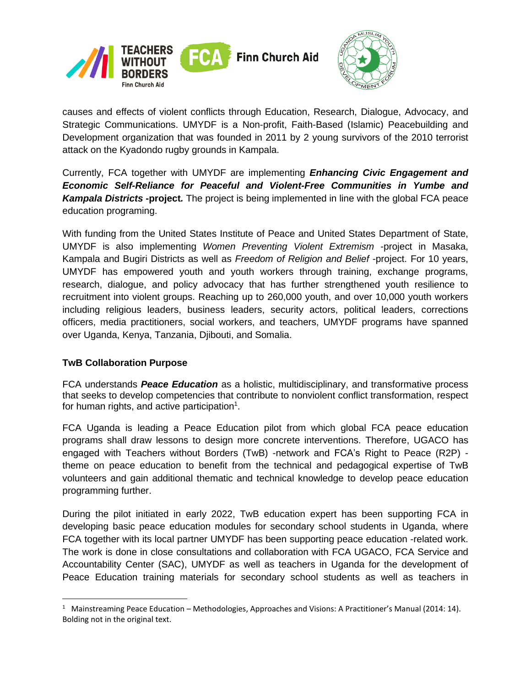



causes and effects of violent conflicts through Education, Research, Dialogue, Advocacy, and Strategic Communications. UMYDF is a Non-profit, Faith-Based (Islamic) Peacebuilding and Development organization that was founded in 2011 by 2 young survivors of the 2010 terrorist attack on the Kyadondo rugby grounds in Kampala.

Currently, FCA together with UMYDF are implementing *Enhancing Civic Engagement and Economic Self-Reliance for Peaceful and Violent-Free Communities in Yumbe and Kampala Districts* **-project***.* The project is being implemented in line with the global FCA peace education programing.

With funding from the United States Institute of Peace and United States Department of State, UMYDF is also implementing *Women Preventing Violent Extremism* -project in Masaka, Kampala and Bugiri Districts as well as *Freedom of Religion and Belief* -project. For 10 years, UMYDF has empowered youth and youth workers through training, exchange programs, research, dialogue, and policy advocacy that has further strengthened youth resilience to recruitment into violent groups. Reaching up to 260,000 youth, and over 10,000 youth workers including religious leaders, business leaders, security actors, political leaders, corrections officers, media practitioners, social workers, and teachers, UMYDF programs have spanned over Uganda, Kenya, Tanzania, Djibouti, and Somalia.

# **TwB Collaboration Purpose**

FCA understands *Peace Education* as a holistic, multidisciplinary, and transformative process that seeks to develop competencies that contribute to nonviolent conflict transformation, respect for human rights, and active participation $1$ .

FCA Uganda is leading a Peace Education pilot from which global FCA peace education programs shall draw lessons to design more concrete interventions. Therefore, UGACO has engaged with Teachers without Borders (TwB) -network and FCA's Right to Peace (R2P) theme on peace education to benefit from the technical and pedagogical expertise of TwB volunteers and gain additional thematic and technical knowledge to develop peace education programming further.

During the pilot initiated in early 2022, TwB education expert has been supporting FCA in developing basic peace education modules for secondary school students in Uganda, where FCA together with its local partner UMYDF has been supporting peace education -related work. The work is done in close consultations and collaboration with FCA UGACO, FCA Service and Accountability Center (SAC), UMYDF as well as teachers in Uganda for the development of Peace Education training materials for secondary school students as well as teachers in

<sup>&</sup>lt;sup>1</sup> Mainstreaming Peace Education – Methodologies, Approaches and Visions: A Practitioner's Manual (2014: 14). Bolding not in the original text.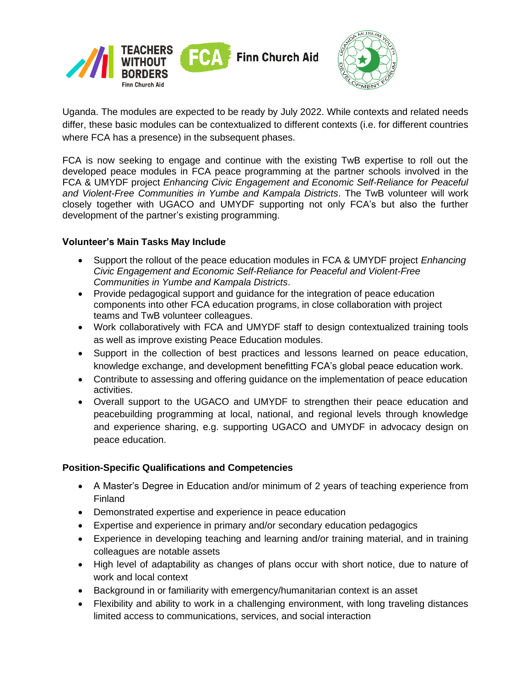



Uganda. The modules are expected to be ready by July 2022. While contexts and related needs differ, these basic modules can be contextualized to different contexts (i.e. for different countries where FCA has a presence) in the subsequent phases.

FCA is now seeking to engage and continue with the existing TwB expertise to roll out the developed peace modules in FCA peace programming at the partner schools involved in the FCA & UMYDF project *Enhancing Civic Engagement and Economic Self-Reliance for Peaceful and Violent-Free Communities in Yumbe and Kampala Districts*. The TwB volunteer will work closely together with UGACO and UMYDF supporting not only FCA's but also the further development of the partner's existing programming.

### **Volunteer's Main Tasks May Include**

- Support the rollout of the peace education modules in FCA & UMYDF project *Enhancing Civic Engagement and Economic Self-Reliance for Peaceful and Violent-Free Communities in Yumbe and Kampala Districts*.
- Provide pedagogical support and guidance for the integration of peace education components into other FCA education programs, in close collaboration with project teams and TwB volunteer colleagues.
- Work collaboratively with FCA and UMYDF staff to design contextualized training tools as well as improve existing Peace Education modules.
- Support in the collection of best practices and lessons learned on peace education, knowledge exchange, and development benefitting FCA's global peace education work.
- Contribute to assessing and offering guidance on the implementation of peace education activities.
- Overall support to the UGACO and UMYDF to strengthen their peace education and peacebuilding programming at local, national, and regional levels through knowledge and experience sharing, e.g. supporting UGACO and UMYDF in advocacy design on peace education.

# **Position-Specific Qualifications and Competencies**

- A Master's Degree in Education and/or minimum of 2 years of teaching experience from Finland
- Demonstrated expertise and experience in peace education
- Expertise and experience in primary and/or secondary education pedagogics
- Experience in developing teaching and learning and/or training material, and in training colleagues are notable assets
- High level of adaptability as changes of plans occur with short notice, due to nature of work and local context
- Background in or familiarity with emergency/humanitarian context is an asset
- Flexibility and ability to work in a challenging environment, with long traveling distances limited access to communications, services, and social interaction